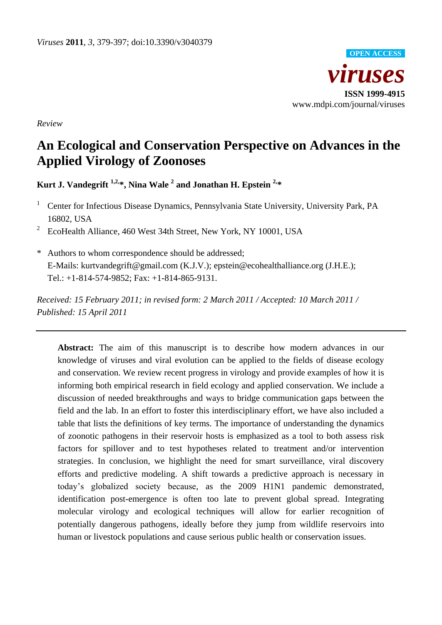

*Review*

# **An Ecological and Conservation Perspective on Advances in the Applied Virology of Zoonoses**

**Kurt J. Vandegrift 1,2, \*, Nina Wale <sup>2</sup> and Jonathan H. Epstein 2, \***

- <sup>1</sup> Center for Infectious Disease Dynamics, Pennsylvania State University, University Park, PA 16802, USA
- <sup>2</sup> EcoHealth Alliance, 460 West 34th Street, New York, NY 10001, USA
- \* Authors to whom correspondence should be addressed; E-Mails: [kurtvandegrift@gmail.com](mailto:kurtvandegrift@gmail.com) (K.J.V.); epstein@ecohealthalliance.org (J.H.E.); Tel.: +1-814-574-9852; Fax: +1-814-865-9131.

*Received: 15 February 2011; in revised form: 2 March 2011 / Accepted: 10 March 2011 / Published: 15 April 2011*

Abstract: The aim of this manuscript is to describe how modern advances in our knowledge of viruses and viral evolution can be applied to the fields of disease ecology and conservation. We review recent progress in virology and provide examples of how it is informing both empirical research in field ecology and applied conservation. We include a discussion of needed breakthroughs and ways to bridge communication gaps between the field and the lab. In an effort to foster this interdisciplinary effort, we have also included a table that lists the definitions of key terms. The importance of understanding the dynamics of zoonotic pathogens in their reservoir hosts is emphasized as a tool to both assess risk factors for spillover and to test hypotheses related to treatment and/or intervention strategies. In conclusion, we highlight the need for smart surveillance, viral discovery efforts and predictive modeling. A shift towards a predictive approach is necessary in today's globalized society because, as the 2009 H1N1 pandemic demonstrated, identification post-emergence is often too late to prevent global spread. Integrating molecular virology and ecological techniques will allow for earlier recognition of potentially dangerous pathogens, ideally before they jump from wildlife reservoirs into human or livestock populations and cause serious public health or conservation issues.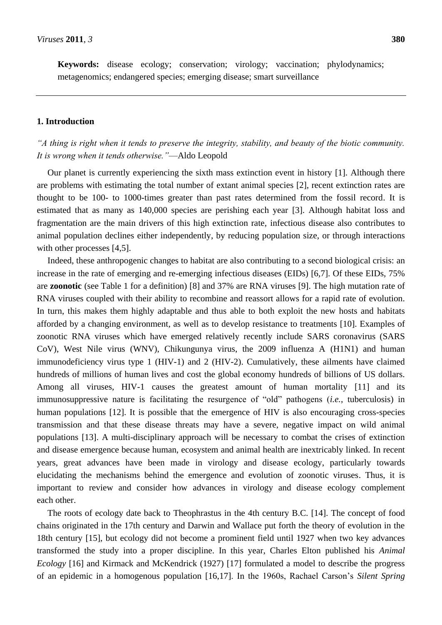**Keywords:** disease ecology; conservation; virology; vaccination; phylodynamics; metagenomics; endangered species; emerging disease; smart surveillance

# **1. Introduction**

*"A thing is right when it tends to preserve the integrity, stability, and beauty of the biotic community. It is wrong when it tends otherwise."*—Aldo Leopold

Our planet is currently experiencing the sixth mass extinction event in history [\[1\]](#page-12-0). Although there are problems with estimating the total number of extant animal species [\[2\]](#page-12-1), recent extinction rates are thought to be 100- to 1000-times greater than past rates determined from the fossil record. It is estimated that as many as 140,000 species are perishing each year [\[3\]](#page-12-2). Although habitat loss and fragmentation are the main drivers of this high extinction rate, infectious disease also contributes to animal population declines either independently, by reducing population size, or through interactions with other processes [\[4,](#page-12-3)[5\]](#page-12-4).

Indeed, these anthropogenic changes to habitat are also contributing to a second biological crisis: an increase in the rate of emerging and re-emerging infectious diseases (EIDs) [\[6,](#page-12-5)[7\]](#page-12-6). Of these EIDs, 75% are **zoonotic** (see Table 1 for a definition) [\[8\]](#page-12-7) and 37% are RNA viruses [\[9\]](#page-12-8). The high mutation rate of RNA viruses coupled with their ability to recombine and reassort allows for a rapid rate of evolution. In turn, this makes them highly adaptable and thus able to both exploit the new hosts and habitats afforded by a changing environment, as well as to develop resistance to treatments [\[10\]](#page-12-9). Examples of zoonotic RNA viruses which have emerged relatively recently include SARS coronavirus (SARS CoV), West Nile virus (WNV), Chikungunya virus, the 2009 influenza A (H1N1) and human immunodeficiency virus type 1 (HIV-1) and 2 (HIV-2). Cumulatively, these ailments have claimed hundreds of millions of human lives and cost the global economy hundreds of billions of US dollars. Among all viruses, HIV-1 causes the greatest amount of human mortality [\[11\]](#page-12-10) and its immunosuppressive nature is facilitating the resurgence of "old" pathogens *(i.e.*, tuberculosis) in human populations [\[12\]](#page-12-11). It is possible that the emergence of HIV is also encouraging cross-species transmission and that these disease threats may have a severe, negative impact on wild animal populations [\[13\]](#page-12-12). A multi-disciplinary approach will be necessary to combat the crises of extinction and disease emergence because human, ecosystem and animal health are inextricably linked. In recent years, great advances have been made in virology and disease ecology, particularly towards elucidating the mechanisms behind the emergence and evolution of zoonotic viruses. Thus, it is important to review and consider how advances in virology and disease ecology complement each other.

The roots of ecology date back to Theophrastus in the 4th century B.C. [\[14\]](#page-12-13). The concept of food chains originated in the 17th century and Darwin and Wallace put forth the theory of evolution in the 18th century [\[15\]](#page-12-14), but ecology did not become a prominent field until 1927 when two key advances transformed the study into a proper discipline. In this year, Charles Elton published his *Animal Ecology* [\[16\]](#page-12-15) and Kirmack and McKendrick (1927) [\[17\]](#page-12-16) formulated a model to describe the progress of an epidemic in a homogenous population [\[16](#page-12-15)[,17\]](#page-12-16). In the 1960s, Rachael Carson's *Silent Spring*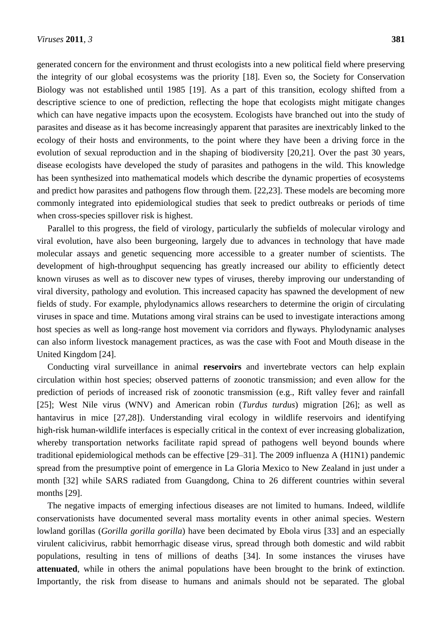generated concern for the environment and thrust ecologists into a new political field where preserving the integrity of our global ecosystems was the priority [\[18\]](#page-13-0). Even so, the Society for Conservation Biology was not established until 1985 [\[19\]](#page-13-1). As a part of this transition, ecology shifted from a descriptive science to one of prediction, reflecting the hope that ecologists might mitigate changes which can have negative impacts upon the ecosystem. Ecologists have branched out into the study of parasites and disease as it has become increasingly apparent that parasites are inextricably linked to the ecology of their hosts and environments, to the point where they have been a driving force in the evolution of sexual reproduction and in the shaping of biodiversity [\[20,](#page-13-2)[21\]](#page-13-3). Over the past 30 years, disease ecologists have developed the study of parasites and pathogens in the wild. This knowledge has been synthesized into mathematical models which describe the dynamic properties of ecosystems and predict how parasites and pathogens flow through them. [\[22,](#page-13-4)[23\]](#page-13-5). These models are becoming more commonly integrated into epidemiological studies that seek to predict outbreaks or periods of time when cross-species spillover risk is highest.

Parallel to this progress, the field of virology, particularly the subfields of molecular virology and viral evolution, have also been burgeoning, largely due to advances in technology that have made molecular assays and genetic sequencing more accessible to a greater number of scientists. The development of high-throughput sequencing has greatly increased our ability to efficiently detect known viruses as well as to discover new types of viruses, thereby improving our understanding of viral diversity, pathology and evolution. This increased capacity has spawned the development of new fields of study. For example, phylodynamics allows researchers to determine the origin of circulating viruses in space and time. Mutations among viral strains can be used to investigate interactions among host species as well as long-range host movement via corridors and flyways. Phylodynamic analyses can also inform livestock management practices, as was the case with Foot and Mouth disease in the United Kingdom [\[24\]](#page-13-6).

Conducting viral surveillance in animal **reservoirs** and invertebrate vectors can help explain circulation within host species; observed patterns of zoonotic transmission; and even allow for the prediction of periods of increased risk of zoonotic transmission (e.g., Rift valley fever and rainfall [\[25\]](#page-13-7); West Nile virus (WNV) and American robin (*Turdus turdus*) migration [\[26\]](#page-13-8); as well as hantavirus in mice [\[27,](#page-13-9)[28\]](#page-13-10)). Understanding viral ecology in wildlife reservoirs and identifying high-risk human-wildlife interfaces is especially critical in the context of ever increasing globalization, whereby transportation networks facilitate rapid spread of pathogens well beyond bounds where traditional epidemiological methods can be effective [\[29–](#page-13-11)[31\]](#page-13-12). The 2009 influenza A (H1N1) pandemic spread from the presumptive point of emergence in La Gloria Mexico to New Zealand in just under a month [\[32\]](#page-13-13) while SARS radiated from Guangdong, China to 26 different countries within several months [\[29\]](#page-13-11).

The negative impacts of emerging infectious diseases are not limited to humans. Indeed, wildlife conservationists have documented several mass mortality events in other animal species. Western lowland gorillas (*Gorilla gorilla gorilla*) have been decimated by Ebola virus [\[33\]](#page-13-14) and an especially virulent calicivirus, rabbit hemorrhagic disease virus, spread through both domestic and wild rabbit populations, resulting in tens of millions of deaths [\[34\]](#page-13-15). In some instances the viruses have **attenuated**, while in others the animal populations have been brought to the brink of extinction. Importantly, the risk from disease to humans and animals should not be separated. The global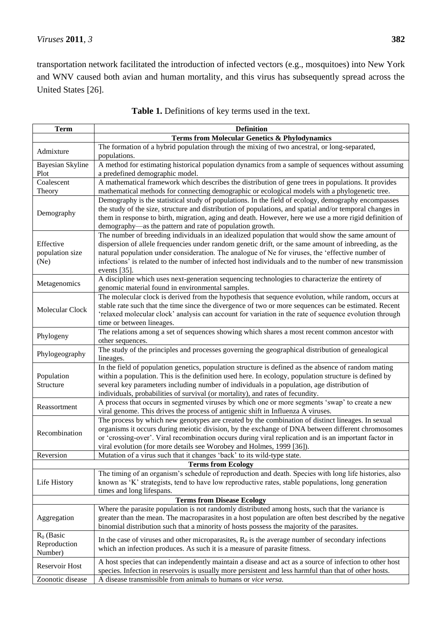# *Viruses* **2011**, *3* **382**

transportation network facilitated the introduction of infected vectors (e.g., mosquitoes) into New York and WNV caused both avian and human mortality, and this virus has subsequently spread across the United States [\[26\]](#page-13-8).

| <b>Term</b>                             | <b>Definition</b>                                                                                                                                                                                                                                                                                                                                                                                                                        |  |  |
|-----------------------------------------|------------------------------------------------------------------------------------------------------------------------------------------------------------------------------------------------------------------------------------------------------------------------------------------------------------------------------------------------------------------------------------------------------------------------------------------|--|--|
|                                         | Terms from Molecular Genetics & Phylodynamics                                                                                                                                                                                                                                                                                                                                                                                            |  |  |
| Admixture                               | The formation of a hybrid population through the mixing of two ancestral, or long-separated,<br>populations.                                                                                                                                                                                                                                                                                                                             |  |  |
| Bayesian Skyline<br>Plot                | A method for estimating historical population dynamics from a sample of sequences without assuming<br>a predefined demographic model.                                                                                                                                                                                                                                                                                                    |  |  |
| Coalescent<br>Theory                    | A mathematical framework which describes the distribution of gene trees in populations. It provides<br>mathematical methods for connecting demographic or ecological models with a phylogenetic tree.                                                                                                                                                                                                                                    |  |  |
| Demography                              | Demography is the statistical study of populations. In the field of ecology, demography encompasses<br>the study of the size, structure and distribution of populations, and spatial and/or temporal changes in<br>them in response to birth, migration, aging and death. However, here we use a more rigid definition of<br>demography-as the pattern and rate of population growth.                                                    |  |  |
| Effective<br>population size<br>(Ne)    | The number of breeding individuals in an idealized population that would show the same amount of<br>dispersion of allele frequencies under random genetic drift, or the same amount of inbreeding, as the<br>natural population under consideration. The analogue of Ne for viruses, the 'effective number of<br>infections' is related to the number of infected host individuals and to the number of new transmission<br>events [35]. |  |  |
| Metagenomics                            | A discipline which uses next-generation sequencing technologies to characterize the entirety of<br>genomic material found in environmental samples.                                                                                                                                                                                                                                                                                      |  |  |
| Molecular Clock                         | The molecular clock is derived from the hypothesis that sequence evolution, while random, occurs at<br>stable rate such that the time since the divergence of two or more sequences can be estimated. Recent<br>'relaxed molecular clock' analysis can account for variation in the rate of sequence evolution through<br>time or between lineages.                                                                                      |  |  |
| Phylogeny                               | The relations among a set of sequences showing which shares a most recent common ancestor with<br>other sequences.                                                                                                                                                                                                                                                                                                                       |  |  |
| Phylogeography                          | The study of the principles and processes governing the geographical distribution of genealogical<br>lineages.                                                                                                                                                                                                                                                                                                                           |  |  |
| Population<br>Structure                 | In the field of population genetics, population structure is defined as the absence of random mating<br>within a population. This is the definition used here. In ecology, population structure is defined by<br>several key parameters including number of individuals in a population, age distribution of<br>individuals, probabilities of survival (or mortality), and rates of fecundity.                                           |  |  |
| Reassortment                            | A process that occurs in segmented viruses by which one or more segments 'swap' to create a new<br>viral genome. This drives the process of antigenic shift in Influenza A viruses.                                                                                                                                                                                                                                                      |  |  |
| Recombination                           | The process by which new genotypes are created by the combination of distinct lineages. In sexual<br>organisms it occurs during meiotic division, by the exchange of DNA between different chromosomes<br>or 'crossing-over'. Viral recombination occurs during viral replication and is an important factor in<br>viral evolution (for more details see Worobey and Holmes, 1999 [36]).                                                 |  |  |
| Reversion                               | Mutation of a virus such that it changes 'back' to its wild-type state.                                                                                                                                                                                                                                                                                                                                                                  |  |  |
| <b>Terms from Ecology</b>               |                                                                                                                                                                                                                                                                                                                                                                                                                                          |  |  |
| Life History                            | The timing of an organism's schedule of reproduction and death. Species with long life histories, also<br>known as 'K' strategists, tend to have low reproductive rates, stable populations, long generation<br>times and long lifespans.                                                                                                                                                                                                |  |  |
| <b>Terms from Disease Ecology</b>       |                                                                                                                                                                                                                                                                                                                                                                                                                                          |  |  |
| Aggregation                             | Where the parasite population is not randomly distributed among hosts, such that the variance is<br>greater than the mean. The macroparasites in a host population are often best described by the negative<br>binomial distribution such that a minority of hosts possess the majority of the parasites.                                                                                                                                |  |  |
| $R_0$ (Basic<br>Reproduction<br>Number) | In the case of viruses and other microparasites, $R_0$ is the average number of secondary infections<br>which an infection produces. As such it is a measure of parasite fitness.                                                                                                                                                                                                                                                        |  |  |
| Reservoir Host                          | A host species that can independently maintain a disease and act as a source of infection to other host<br>species. Infection in reservoirs is usually more persistent and less harmful than that of other hosts.                                                                                                                                                                                                                        |  |  |
| Zoonotic disease                        | A disease transmissible from animals to humans or vice versa.                                                                                                                                                                                                                                                                                                                                                                            |  |  |

| Table 1. Definitions of key terms used in the text. |  |  |
|-----------------------------------------------------|--|--|
|-----------------------------------------------------|--|--|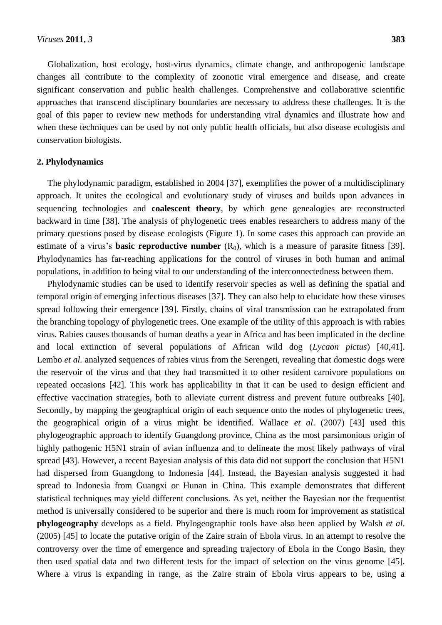Globalization, host ecology, host-virus dynamics, climate change, and anthropogenic landscape changes all contribute to the complexity of zoonotic viral emergence and disease, and create significant conservation and public health challenges. Comprehensive and collaborative scientific approaches that transcend disciplinary boundaries are necessary to address these challenges. It is the goal of this paper to review new methods for understanding viral dynamics and illustrate how and when these techniques can be used by not only public health officials, but also disease ecologists and conservation biologists.

#### **2. Phylodynamics**

The phylodynamic paradigm, established in 2004 [\[37\]](#page-14-0), exemplifies the power of a multidisciplinary approach. It unites the ecological and evolutionary study of viruses and builds upon advances in sequencing technologies and **coalescent theory**, by which gene genealogies are reconstructed backward in time [\[38\]](#page-14-1). The analysis of phylogenetic trees enables researchers to address many of the primary questions posed by disease ecologists (Figure 1). In some cases this approach can provide an estimate of a virus's **basic reproductive number**  $(R_0)$ , which is a measure of parasite fitness [\[39\]](#page-14-2). Phylodynamics has far-reaching applications for the control of viruses in both human and animal populations, in addition to being vital to our understanding of the interconnectedness between them.

Phylodynamic studies can be used to identify reservoir species as well as defining the spatial and temporal origin of emerging infectious diseases [\[37\]](#page-14-0). They can also help to elucidate how these viruses spread following their emergence [\[39\]](#page-14-2). Firstly, chains of viral transmission can be extrapolated from the branching topology of phylogenetic trees. One example of the utility of this approach is with rabies virus. Rabies causes thousands of human deaths a year in Africa and has been implicated in the decline and local extinction of several populations of African wild dog (*Lycaon pictus*) [\[40](#page-14-3)[,41\]](#page-14-4). Lembo *et al.* analyzed sequences of rabies virus from the Serengeti, revealing that domestic dogs were the reservoir of the virus and that they had transmitted it to other resident carnivore populations on repeated occasions [\[42\]](#page-14-5). This work has applicability in that it can be used to design efficient and effective vaccination strategies, both to alleviate current distress and prevent future outbreaks [\[40\]](#page-14-3). Secondly, by mapping the geographical origin of each sequence onto the nodes of phylogenetic trees, the geographical origin of a virus might be identified. Wallace *et al*. (2007) [\[43\]](#page-14-6) used this phylogeographic approach to identify Guangdong province, China as the most parsimonious origin of highly pathogenic H5N1 strain of avian influenza and to delineate the most likely pathways of viral spread [\[43\]](#page-14-6). However, a recent Bayesian analysis of this data did not support the conclusion that H5N1 had dispersed from Guangdong to Indonesia [\[44\]](#page-14-7). Instead, the Bayesian analysis suggested it had spread to Indonesia from Guangxi or Hunan in China. This example demonstrates that different statistical techniques may yield different conclusions. As yet, neither the Bayesian nor the frequentist method is universally considered to be superior and there is much room for improvement as statistical **phylogeography** develops as a field. Phylogeographic tools have also been applied by Walsh *et al*. (2005) [\[45\]](#page-14-8) to locate the putative origin of the Zaire strain of Ebola virus. In an attempt to resolve the controversy over the time of emergence and spreading trajectory of Ebola in the Congo Basin, they then used spatial data and two different tests for the impact of selection on the virus genome [\[45\]](#page-14-8). Where a virus is expanding in range, as the Zaire strain of Ebola virus appears to be, using a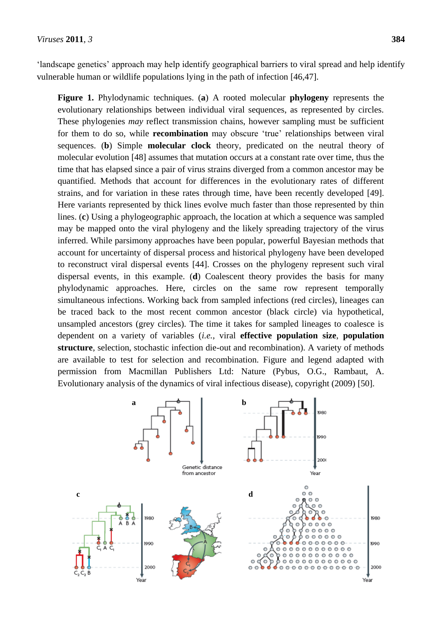‗landscape genetics' approach may help identify geographical barriers to viral spread and help identify vulnerable human or wildlife populations lying in the path of infection [\[46](#page-14-9)[,47\]](#page-14-10).

**Figure 1.** Phylodynamic techniques. (**a**) A rooted molecular **phylogeny** represents the evolutionary relationships between individual viral sequences, as represented by circles. These phylogenies *may* reflect transmission chains, however sampling must be sufficient for them to do so, while **recombination** may obscure ‗true' relationships between viral sequences. (**b**) Simple **molecular clock** theory, predicated on the neutral theory of molecular evolution [\[48\]](#page-14-11) assumes that mutation occurs at a constant rate over time, thus the time that has elapsed since a pair of virus strains diverged from a common ancestor may be quantified. Methods that account for differences in the evolutionary rates of different strains, and for variation in these rates through time, have been recently developed [\[49\]](#page-14-12). Here variants represented by thick lines evolve much faster than those represented by thin lines. (**c**) Using a phylogeographic approach, the location at which a sequence was sampled may be mapped onto the viral phylogeny and the likely spreading trajectory of the virus inferred. While parsimony approaches have been popular, powerful Bayesian methods that account for uncertainty of dispersal process and historical phylogeny have been developed to reconstruct viral dispersal events [\[44\]](#page-14-7). Crosses on the phylogeny represent such viral dispersal events, in this example. (**d**) Coalescent theory provides the basis for many phylodynamic approaches. Here, circles on the same row represent temporally simultaneous infections. Working back from sampled infections (red circles), lineages can be traced back to the most recent common ancestor (black circle) via hypothetical, unsampled ancestors (grey circles). The time it takes for sampled lineages to coalesce is dependent on a variety of variables (*i.e.*, viral **effective population size**, **population structure**, selection, stochastic infection die-out and recombination). A variety of methods are available to test for selection and recombination. Figure and legend adapted with permission from Macmillan Publishers Ltd: Nature (Pybus, O.G., Rambaut, A. Evolutionary analysis of the dynamics of viral infectious disease), copyright (2009) [\[50\]](#page-14-13).

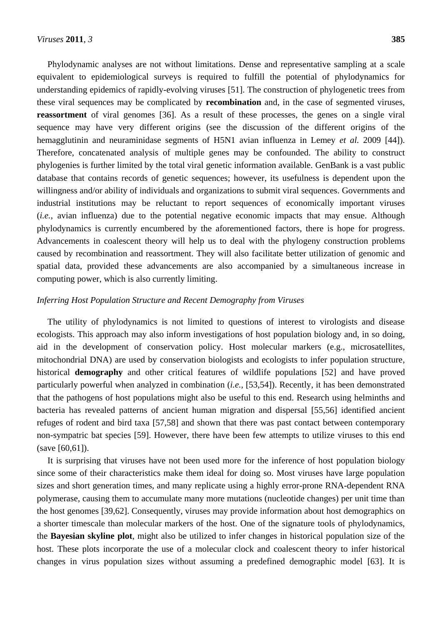Phylodynamic analyses are not without limitations. Dense and representative sampling at a scale equivalent to epidemiological surveys is required to fulfill the potential of phylodynamics for understanding epidemics of rapidly-evolving viruses [\[51\]](#page-14-14). The construction of phylogenetic trees from these viral sequences may be complicated by **recombination** and, in the case of segmented viruses, **reassortment** of viral genomes [\[36\]](#page-13-17). As a result of these processes, the genes on a single viral sequence may have very different origins (see the discussion of the different origins of the hemagglutinin and neuraminidase segments of H5N1 avian influenza in Lemey *et al.* 2009 [\[44\]](#page-14-7)). Therefore, concatenated analysis of multiple genes may be confounded. The ability to construct phylogenies is further limited by the total viral genetic information available. GenBank is a vast public database that contains records of genetic sequences; however, its usefulness is dependent upon the willingness and/or ability of individuals and organizations to submit viral sequences. Governments and industrial institutions may be reluctant to report sequences of economically important viruses (*i.e.*, avian influenza) due to the potential negative economic impacts that may ensue. Although phylodynamics is currently encumbered by the aforementioned factors, there is hope for progress. Advancements in coalescent theory will help us to deal with the phylogeny construction problems caused by recombination and reassortment. They will also facilitate better utilization of genomic and spatial data, provided these advancements are also accompanied by a simultaneous increase in computing power, which is also currently limiting.

# *Inferring Host Population Structure and Recent Demography from Viruses*

The utility of phylodynamics is not limited to questions of interest to virologists and disease ecologists. This approach may also inform investigations of host population biology and, in so doing, aid in the development of conservation policy. Host molecular markers (e.g., microsatellites, mitochondrial DNA) are used by conservation biologists and ecologists to infer population structure, historical **demography** and other critical features of wildlife populations [\[52\]](#page-14-15) and have proved particularly powerful when analyzed in combination (*i.e.*, [\[53,](#page-14-16)[54\]](#page-14-17)). Recently, it has been demonstrated that the pathogens of host populations might also be useful to this end. Research using helminths and bacteria has revealed patterns of ancient human migration and dispersal [\[55](#page-15-0)[,56\]](#page-15-1) identified ancient refuges of rodent and bird taxa [\[57](#page-15-2)[,58\]](#page-15-3) and shown that there was past contact between contemporary non-sympatric bat species [\[59\]](#page-15-4). However, there have been few attempts to utilize viruses to this end (save [\[60](#page-15-5)[,61\]](#page-15-6)).

It is surprising that viruses have not been used more for the inference of host population biology since some of their characteristics make them ideal for doing so. Most viruses have large population sizes and short generation times, and many replicate using a highly error-prone RNA-dependent RNA polymerase, causing them to accumulate many more mutations (nucleotide changes) per unit time than the host genomes [\[39,](#page-14-2)[62\]](#page-15-7). Consequently, viruses may provide information about host demographics on a shorter timescale than molecular markers of the host. One of the signature tools of phylodynamics, the **Bayesian skyline plot**, might also be utilized to infer changes in historical population size of the host. These plots incorporate the use of a molecular clock and coalescent theory to infer historical changes in virus population sizes without assuming a predefined demographic model [\[63\]](#page-15-8). It is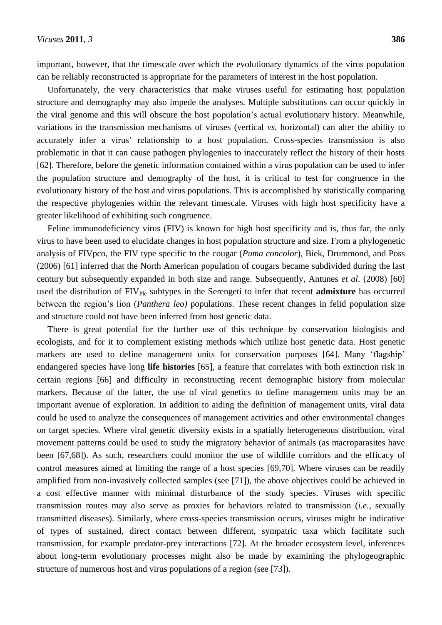important, however, that the timescale over which the evolutionary dynamics of the virus population can be reliably reconstructed is appropriate for the parameters of interest in the host population.

Unfortunately, the very characteristics that make viruses useful for estimating host population structure and demography may also impede the analyses. Multiple substitutions can occur quickly in the viral genome and this will obscure the host population's actual evolutionary history. Meanwhile, variations in the transmission mechanisms of viruses (vertical *vs.* horizontal) can alter the ability to accurately infer a virus' relationship to a host population. Cross-species transmission is also problematic in that it can cause pathogen phylogenies to inaccurately reflect the history of their hosts [\[62\]](#page-15-7). Therefore, before the genetic information contained within a virus population can be used to infer the population structure and demography of the host, it is critical to test for congruence in the evolutionary history of the host and virus populations. This is accomplished by statistically comparing the respective phylogenies within the relevant timescale. Viruses with high host specificity have a greater likelihood of exhibiting such congruence.

Feline immunodeficiency virus (FIV) is known for high host specificity and is, thus far, the only virus to have been used to elucidate changes in host population structure and size. From a phylogenetic analysis of FIVpco, the FIV type specific to the cougar (*Puma concolor*), Biek, Drummond, and Poss (2006) [\[61\]](#page-15-6) inferred that the North American population of cougars became subdivided during the last century but subsequently expanded in both size and range. Subsequently, Antunes *et al*. (2008) [\[60\]](#page-15-5) used the distribution of FIV<sub>Ple</sub> subtypes in the Serengeti to infer that recent **admixture** has occurred between the region's lion (*Panthera leo)* populations. These recent changes in felid population size and structure could not have been inferred from host genetic data.

There is great potential for the further use of this technique by conservation biologists and ecologists, and for it to complement existing methods which utilize host genetic data. Host genetic markers are used to define management units for conservation purposes [\[64\]](#page-15-9). Many 'flagship' endangered species have long **life histories** [\[65\]](#page-15-10), a feature that correlates with both extinction risk in certain regions [\[66\]](#page-15-11) and difficulty in reconstructing recent demographic history from molecular markers. Because of the latter, the use of viral genetics to define management units may be an important avenue of exploration. In addition to aiding the definition of management units, viral data could be used to analyze the consequences of management activities and other environmental changes on target species. Where viral genetic diversity exists in a spatially heterogeneous distribution, viral movement patterns could be used to study the migratory behavior of animals (as macroparasites have been [\[67](#page-15-12)[,68\]](#page-15-13)). As such, researchers could monitor the use of wildlife corridors and the efficacy of control measures aimed at limiting the range of a host species [\[69](#page-15-14)[,70\]](#page-15-15). Where viruses can be readily amplified from non-invasively collected samples (see [\[71\]](#page-15-16)), the above objectives could be achieved in a cost effective manner with minimal disturbance of the study species. Viruses with specific transmission routes may also serve as proxies for behaviors related to transmission (*i.e.*, sexually transmitted diseases). Similarly, where cross-species transmission occurs, viruses might be indicative of types of sustained, direct contact between different, sympatric taxa which facilitate such transmission, for example predator-prey interactions [\[72\]](#page-16-0). At the broader ecosystem level, inferences about long-term evolutionary processes might also be made by examining the phylogeographic structure of numerous host and virus populations of a region (see [\[73\]](#page-16-1)).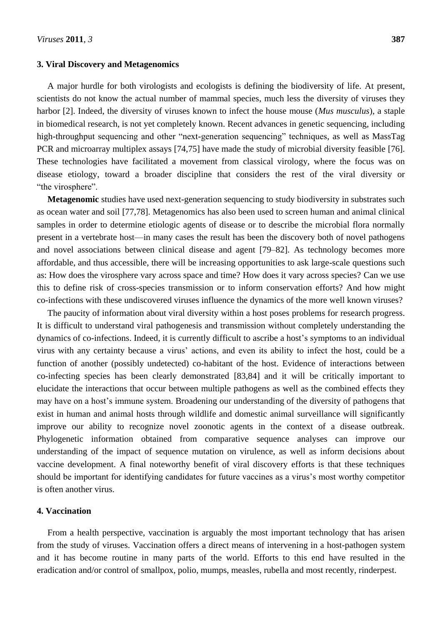#### **3. Viral Discovery and Metagenomics**

A major hurdle for both virologists and ecologists is defining the biodiversity of life. At present, scientists do not know the actual number of mammal species, much less the diversity of viruses they harbor [\[2\]](#page-12-1). Indeed, the diversity of viruses known to infect the house mouse (*Mus musculus*), a staple in biomedical research, is not yet completely known. Recent advances in genetic sequencing, including high-throughput sequencing and other "next-generation sequencing" techniques, as well as MassTag PCR and microarray multiplex assays [\[74](#page-16-2)[,75\]](#page-16-3) have made the study of microbial diversity feasible [\[76\]](#page-16-4). These technologies have facilitated a movement from classical virology, where the focus was on disease etiology, toward a broader discipline that considers the rest of the viral diversity or "the virosphere".

**Metagenomic** studies have used next-generation sequencing to study biodiversity in substrates such as ocean water and soil [\[77](#page-16-5)[,78\]](#page-16-6). Metagenomics has also been used to screen human and animal clinical samples in order to determine etiologic agents of disease or to describe the microbial flora normally present in a vertebrate host—in many cases the result has been the discovery both of novel pathogens and novel associations between clinical disease and agent [\[79](#page-16-7)[–82\]](#page-16-8). As technology becomes more affordable, and thus accessible, there will be increasing opportunities to ask large-scale questions such as: How does the virosphere vary across space and time? How does it vary across species? Can we use this to define risk of cross-species transmission or to inform conservation efforts? And how might co-infections with these undiscovered viruses influence the dynamics of the more well known viruses?

The paucity of information about viral diversity within a host poses problems for research progress. It is difficult to understand viral pathogenesis and transmission without completely understanding the dynamics of co-infections. Indeed, it is currently difficult to ascribe a host's symptoms to an individual virus with any certainty because a virus' actions, and even its ability to infect the host, could be a function of another (possibly undetected) co-habitant of the host. Evidence of interactions between co-infecting species has been clearly demonstrated [\[83,](#page-16-9)[84\]](#page-16-10) and it will be critically important to elucidate the interactions that occur between multiple pathogens as well as the combined effects they may have on a host's immune system. Broadening our understanding of the diversity of pathogens that exist in human and animal hosts through wildlife and domestic animal surveillance will significantly improve our ability to recognize novel zoonotic agents in the context of a disease outbreak. Phylogenetic information obtained from comparative sequence analyses can improve our understanding of the impact of sequence mutation on virulence, as well as inform decisions about vaccine development. A final noteworthy benefit of viral discovery efforts is that these techniques should be important for identifying candidates for future vaccines as a virus's most worthy competitor is often another virus.

#### **4. Vaccination**

From a health perspective, vaccination is arguably the most important technology that has arisen from the study of viruses. Vaccination offers a direct means of intervening in a host-pathogen system and it has become routine in many parts of the world. Efforts to this end have resulted in the eradication and/or control of smallpox, polio, mumps, measles, rubella and most recently, rinderpest.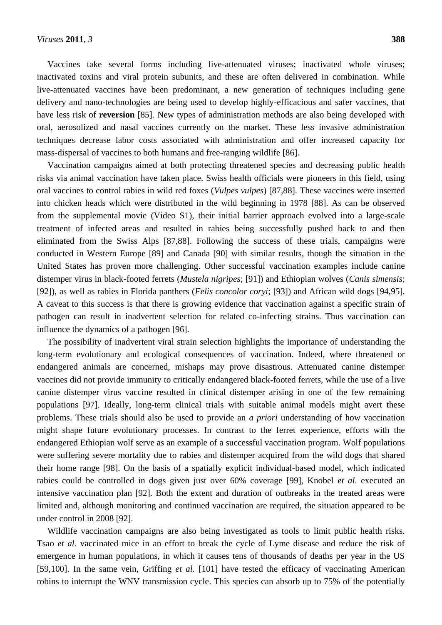Vaccines take several forms including live-attenuated viruses; inactivated whole viruses; inactivated toxins and viral protein subunits, and these are often delivered in combination. While live-attenuated vaccines have been predominant, a new generation of techniques including gene delivery and nano-technologies are being used to develop highly-efficacious and safer vaccines, that have less risk of **reversion** [\[85\]](#page-16-11). New types of administration methods are also being developed with oral, aerosolized and nasal vaccines currently on the market. These less invasive administration techniques decrease labor costs associated with administration and offer increased capacity for mass-dispersal of vaccines to both humans and free-ranging wildlife [\[86\]](#page-16-12).

Vaccination campaigns aimed at both protecting threatened species and decreasing public health risks via animal vaccination have taken place. Swiss health officials were pioneers in this field, using oral vaccines to control rabies in wild red foxes (*Vulpes vulpes*) [\[87,](#page-16-13)[88\]](#page-16-14). These vaccines were inserted into chicken heads which were distributed in the wild beginning in 1978 [\[88\]](#page-16-14). As can be observed from the supplemental movie (Video S1), their initial barrier approach evolved into a large-scale treatment of infected areas and resulted in rabies being successfully pushed back to and then eliminated from the Swiss Alps [\[87](#page-16-13)[,88\]](#page-16-14). Following the success of these trials, campaigns were conducted in Western Europe [\[89\]](#page-17-0) and Canada [\[90\]](#page-17-1) with similar results, though the situation in the United States has proven more challenging. Other successful vaccination examples include canine distemper virus in black-footed ferrets (*Mustela nigripes*; [\[91\]](#page-17-2)) and Ethiopian wolves (*Canis simensis*; [\[92\]](#page-17-3)), as well as rabies in Florida panthers (*Felis concolor coryi*; [\[93\]](#page-17-4)) and African wild dogs [\[94](#page-17-5)[,95\]](#page-17-6). A caveat to this success is that there is growing evidence that vaccination against a specific strain of pathogen can result in inadvertent selection for related co-infecting strains. Thus vaccination can influence the dynamics of a pathogen [\[96\]](#page-17-7).

The possibility of inadvertent viral strain selection highlights the importance of understanding the long-term evolutionary and ecological consequences of vaccination. Indeed, where threatened or endangered animals are concerned, mishaps may prove disastrous. Attenuated canine distemper vaccines did not provide immunity to critically endangered black-footed ferrets, while the use of a live canine distemper virus vaccine resulted in clinical distemper arising in one of the few remaining populations [\[97\]](#page-17-8). Ideally, long-term clinical trials with suitable animal models might avert these problems. These trials should also be used to provide an *a priori* understanding of how vaccination might shape future evolutionary processes. In contrast to the ferret experience, efforts with the endangered Ethiopian wolf serve as an example of a successful vaccination program. Wolf populations were suffering severe mortality due to rabies and distemper acquired from the wild dogs that shared their home range [\[98\]](#page-17-9). On the basis of a spatially explicit individual-based model, which indicated rabies could be controlled in dogs given just over 60% coverage [\[99\]](#page-17-10), Knobel *et al.* executed an intensive vaccination plan [\[92\]](#page-17-3). Both the extent and duration of outbreaks in the treated areas were limited and, although monitoring and continued vaccination are required, the situation appeared to be under control in 2008 [\[92\]](#page-17-3).

Wildlife vaccination campaigns are also being investigated as tools to limit public health risks. Tsao *et al.* vaccinated mice in an effort to break the cycle of Lyme disease and reduce the risk of emergence in human populations, in which it causes tens of thousands of deaths per year in the US [\[59](#page-15-4)[,100\]](#page-17-11). In the same vein, Griffing *et al.* [\[101\]](#page-17-12) have tested the efficacy of vaccinating American robins to interrupt the WNV transmission cycle. This species can absorb up to 75% of the potentially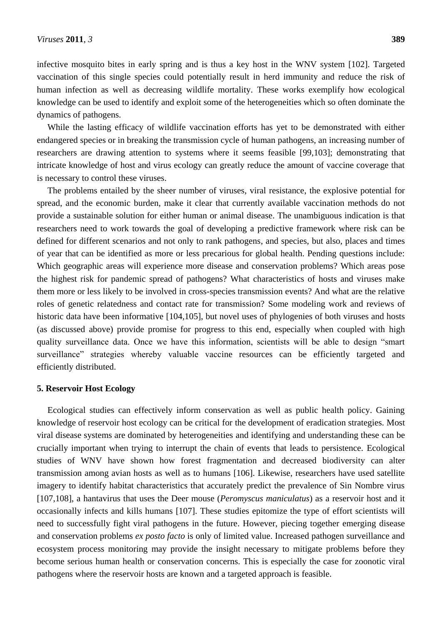infective mosquito bites in early spring and is thus a key host in the WNV system [\[102\]](#page-17-13). Targeted vaccination of this single species could potentially result in herd immunity and reduce the risk of human infection as well as decreasing wildlife mortality. These works exemplify how ecological knowledge can be used to identify and exploit some of the heterogeneities which so often dominate the dynamics of pathogens.

While the lasting efficacy of wildlife vaccination efforts has yet to be demonstrated with either endangered species or in breaking the transmission cycle of human pathogens, an increasing number of researchers are drawing attention to systems where it seems feasible [\[99](#page-17-10)[,103\]](#page-17-14); demonstrating that intricate knowledge of host and virus ecology can greatly reduce the amount of vaccine coverage that is necessary to control these viruses.

The problems entailed by the sheer number of viruses, viral resistance, the explosive potential for spread, and the economic burden, make it clear that currently available vaccination methods do not provide a sustainable solution for either human or animal disease. The unambiguous indication is that researchers need to work towards the goal of developing a predictive framework where risk can be defined for different scenarios and not only to rank pathogens, and species, but also, places and times of year that can be identified as more or less precarious for global health. Pending questions include: Which geographic areas will experience more disease and conservation problems? Which areas pose the highest risk for pandemic spread of pathogens? What characteristics of hosts and viruses make them more or less likely to be involved in cross-species transmission events? And what are the relative roles of genetic relatedness and contact rate for transmission? Some modeling work and reviews of historic data have been informative [\[104,](#page-18-0)[105\]](#page-18-1), but novel uses of phylogenies of both viruses and hosts (as discussed above) provide promise for progress to this end, especially when coupled with high quality surveillance data. Once we have this information, scientists will be able to design "smart" surveillance" strategies whereby valuable vaccine resources can be efficiently targeted and efficiently distributed.

#### **5. Reservoir Host Ecology**

Ecological studies can effectively inform conservation as well as public health policy. Gaining knowledge of reservoir host ecology can be critical for the development of eradication strategies. Most viral disease systems are dominated by heterogeneities and identifying and understanding these can be crucially important when trying to interrupt the chain of events that leads to persistence. Ecological studies of WNV have shown how forest fragmentation and decreased biodiversity can alter transmission among avian hosts as well as to humans [\[106\]](#page-18-2). Likewise, researchers have used satellite imagery to identify habitat characteristics that accurately predict the prevalence of Sin Nombre virus [\[107](#page-18-3)[,108\]](#page-18-4), a hantavirus that uses the Deer mouse (*Peromyscus maniculatus*) as a reservoir host and it occasionally infects and kills humans [\[107\]](#page-18-3). These studies epitomize the type of effort scientists will need to successfully fight viral pathogens in the future. However, piecing together emerging disease and conservation problems *ex posto facto* is only of limited value. Increased pathogen surveillance and ecosystem process monitoring may provide the insight necessary to mitigate problems before they become serious human health or conservation concerns. This is especially the case for zoonotic viral pathogens where the reservoir hosts are known and a targeted approach is feasible.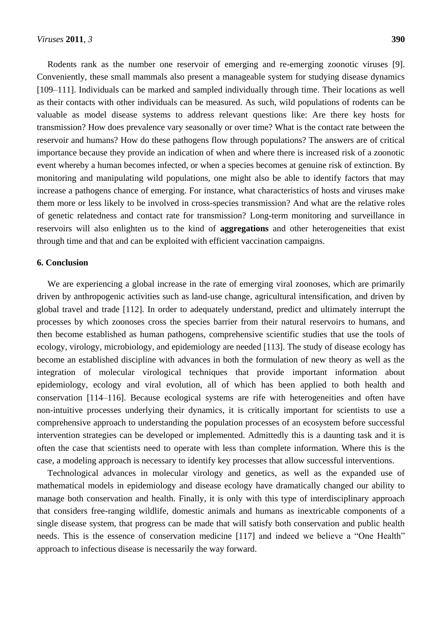Rodents rank as the number one reservoir of emerging and re-emerging zoonotic viruses [\[9\]](#page-12-8). Conveniently, these small mammals also present a manageable system for studying disease dynamics [\[109](#page-18-5)[–111\]](#page-18-6). Individuals can be marked and sampled individually through time. Their locations as well as their contacts with other individuals can be measured. As such, wild populations of rodents can be valuable as model disease systems to address relevant questions like: Are there key hosts for transmission? How does prevalence vary seasonally or over time? What is the contact rate between the reservoir and humans? How do these pathogens flow through populations? The answers are of critical importance because they provide an indication of when and where there is increased risk of a zoonotic event whereby a human becomes infected, or when a species becomes at genuine risk of extinction. By monitoring and manipulating wild populations, one might also be able to identify factors that may increase a pathogens chance of emerging. For instance, what characteristics of hosts and viruses make them more or less likely to be involved in cross-species transmission? And what are the relative roles of genetic relatedness and contact rate for transmission? Long-term monitoring and surveillance in reservoirs will also enlighten us to the kind of **aggregations** and other heterogeneities that exist through time and that and can be exploited with efficient vaccination campaigns.

#### **6. Conclusion**

We are experiencing a global increase in the rate of emerging viral zoonoses, which are primarily driven by anthropogenic activities such as land-use change, agricultural intensification, and driven by global travel and trade [\[112\]](#page-18-7). In order to adequately understand, predict and ultimately interrupt the processes by which zoonoses cross the species barrier from their natural reservoirs to humans, and then become established as human pathogens, comprehensive scientific studies that use the tools of ecology, virology, microbiology, and epidemiology are needed [\[113\]](#page-18-8). The study of disease ecology has become an established discipline with advances in both the formulation of new theory as well as the integration of molecular virological techniques that provide important information about epidemiology, ecology and viral evolution, all of which has been applied to both health and conservation [\[114–](#page-18-9)[116\]](#page-18-10). Because ecological systems are rife with heterogeneities and often have non-intuitive processes underlying their dynamics, it is critically important for scientists to use a comprehensive approach to understanding the population processes of an ecosystem before successful intervention strategies can be developed or implemented. Admittedly this is a daunting task and it is often the case that scientists need to operate with less than complete information. Where this is the case, a modeling approach is necessary to identify key processes that allow successful interventions.

Technological advances in molecular virology and genetics, as well as the expanded use of mathematical models in epidemiology and disease ecology have dramatically changed our ability to manage both conservation and health. Finally, it is only with this type of interdisciplinary approach that considers free-ranging wildlife, domestic animals and humans as inextricable components of a single disease system, that progress can be made that will satisfy both conservation and public health needs. This is the essence of conservation medicine [\[117\]](#page-18-11) and indeed we believe a "One Health" approach to infectious disease is necessarily the way forward.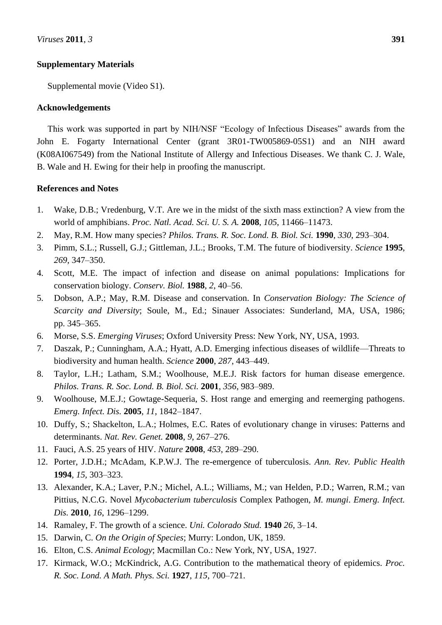# **Supplementary Materials**

Supplemental movie (Video S1).

# **Acknowledgements**

This work was supported in part by NIH/NSF "Ecology of Infectious Diseases" awards from the John E. Fogarty International Center (grant 3R01-TW005869-05S1) and an NIH award (K08AI067549) from the National Institute of Allergy and Infectious Diseases. We thank C. J. Wale, B. Wale and H. Ewing for their help in proofing the manuscript.

# **References and Notes**

- <span id="page-12-0"></span>1. Wake, D.B.; Vredenburg, V.T. Are we in the midst of the sixth mass extinction? A view from the world of amphibians. *Proc. Natl. Acad. Sci. U. S. A.* **2008**, *105*, 11466–11473.
- <span id="page-12-1"></span>2. May, R.M. How many species? *Philos. Trans. R. Soc. Lond. B. Biol. Sci.* **1990**, *330*, 293–304.
- <span id="page-12-2"></span>3. Pimm, S.L.; Russell, G.J.; Gittleman, J.L.; Brooks, T.M. The future of biodiversity. *Science* **1995**, *269*, 347–350.
- <span id="page-12-3"></span>4. Scott, M.E. The impact of infection and disease on animal populations: Implications for conservation biology. *Conserv. Biol.* **1988**, *2*, 40–56.
- <span id="page-12-4"></span>5. Dobson, A.P.; May, R.M. Disease and conservation. In *Conservation Biology: The Science of Scarcity and Diversity*; Soule, M., Ed.; Sinauer Associates: Sunderland, MA, USA, 1986; pp. 345–365.
- <span id="page-12-5"></span>6. Morse, S.S. *Emerging Viruses*; Oxford University Press: New York, NY, USA, 1993.
- <span id="page-12-6"></span>7. Daszak, P.; Cunningham, A.A.; Hyatt, A.D. Emerging infectious diseases of wildlife—Threats to biodiversity and human health. *Science* **2000**, *287*, 443–449.
- <span id="page-12-7"></span>8. Taylor, L.H.; Latham, S.M.; Woolhouse, M.E.J. Risk factors for human disease emergence. *Philos. Trans. R. Soc. Lond. B. Biol. Sci.* **2001**, *356*, 983–989.
- <span id="page-12-8"></span>9. Woolhouse, M.E.J.; Gowtage-Sequeria, S. Host range and emerging and reemerging pathogens. *Emerg. Infect. Dis.* **2005**, *11*, 1842–1847.
- <span id="page-12-9"></span>10. Duffy, S.; Shackelton, L.A.; Holmes, E.C. Rates of evolutionary change in viruses: Patterns and determinants. *Nat. Rev. Genet.* **2008**, *9*, 267–276.
- <span id="page-12-10"></span>11. Fauci, A.S. 25 years of HIV. *Nature* **2008**, *453*, 289–290.
- <span id="page-12-11"></span>12. Porter, J.D.H.; McAdam, K.P.W.J. The re-emergence of tuberculosis. *Ann. Rev. Public Health*  **1994**, *15*, 303–323.
- <span id="page-12-12"></span>13. Alexander, K.A.; Laver, P.N.; Michel, A.L.; Williams, M.; van Helden, P.D.; Warren, R.M.; van Pittius, N.C.G. Novel *Mycobacterium tuberculosis* Complex Pathogen, *M. mungi*. *Emerg. Infect. Dis.* **2010**, *16*, 1296–1299.
- <span id="page-12-13"></span>14. Ramaley, F. The growth of a science. *Uni. Colorado Stud.* **1940** *26*, 3–14.
- <span id="page-12-14"></span>15. Darwin, C. *On the Origin of Species*; Murry: London, UK, 1859.
- <span id="page-12-15"></span>16. Elton, C.S. *Animal Ecology*; Macmillan Co.: New York, NY, USA, 1927.
- <span id="page-12-16"></span>17. Kirmack, W.O.; McKindrick, A.G. Contribution to the mathematical theory of epidemics. *Proc. R. Soc. Lond. A Math. Phys. Sci.* **1927**, *115*, 700–721.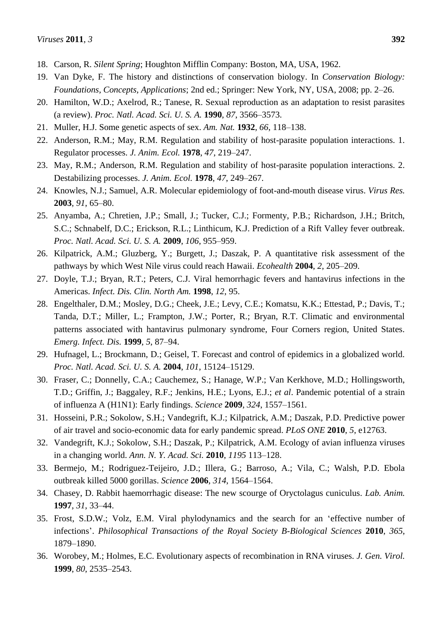- <span id="page-13-0"></span>18. Carson, R. *Silent Spring*; Houghton Mifflin Company: Boston, MA, USA, 1962.
- <span id="page-13-1"></span>19. Van Dyke, F. The history and distinctions of conservation biology. In *Conservation Biology: Foundations, Concepts, Applications*; 2nd ed.; Springer: New York, NY, USA, 2008; pp. 2–26.
- <span id="page-13-2"></span>20. Hamilton, W.D.; Axelrod, R.; Tanese, R. Sexual reproduction as an adaptation to resist parasites (a review). *Proc. Natl. Acad. Sci. U. S. A.* **1990**, *87*, 3566–3573.
- <span id="page-13-3"></span>21. Muller, H.J. Some genetic aspects of sex. *Am. Nat.* **1932**, *66*, 118–138.
- <span id="page-13-4"></span>22. Anderson, R.M.; May, R.M. Regulation and stability of host-parasite population interactions. 1. Regulator processes. *J. Anim. Ecol.* **1978**, *47*, 219–247.
- <span id="page-13-5"></span>23. May, R.M.; Anderson, R.M. Regulation and stability of host-parasite population interactions. 2. Destabilizing processes. *J. Anim. Ecol.* **1978**, *47*, 249–267.
- <span id="page-13-6"></span>24. Knowles, N.J.; Samuel, A.R. Molecular epidemiology of foot-and-mouth disease virus. *Virus Res.*  **2003**, *91*, 65–80.
- <span id="page-13-7"></span>25. Anyamba, A.; Chretien, J.P.; Small, J.; Tucker, C.J.; Formenty, P.B.; Richardson, J.H.; Britch, S.C.; Schnabelf, D.C.; Erickson, R.L.; Linthicum, K.J. Prediction of a Rift Valley fever outbreak. *Proc. Natl. Acad. Sci. U. S. A.* **2009**, *106*, 955–959.
- <span id="page-13-8"></span>26. Kilpatrick, A.M.; Gluzberg, Y.; Burgett, J.; Daszak, P. A quantitative risk assessment of the pathways by which West Nile virus could reach Hawaii. *Ecohealth* **2004**, *2*, 205–209.
- <span id="page-13-9"></span>27. Doyle, T.J.; Bryan, R.T.; Peters, C.J. Viral hemorrhagic fevers and hantavirus infections in the Americas. *Infect. Dis. Clin. North Am.* **1998**, *12*, 95.
- <span id="page-13-10"></span>28. Engelthaler, D.M.; Mosley, D.G.; Cheek, J.E.; Levy, C.E.; Komatsu, K.K.; Ettestad, P.; Davis, T.; Tanda, D.T.; Miller, L.; Frampton, J.W.; Porter, R.; Bryan, R.T. Climatic and environmental patterns associated with hantavirus pulmonary syndrome, Four Corners region, United States. *Emerg. Infect. Dis.* **1999**, *5*, 87–94.
- <span id="page-13-11"></span>29. Hufnagel, L.; Brockmann, D.; Geisel, T. Forecast and control of epidemics in a globalized world. *Proc. Natl. Acad. Sci. U. S. A.* **2004**, *101*, 15124–15129.
- 30. Fraser, C.; Donnelly, C.A.; Cauchemez, S.; Hanage, W.P.; Van Kerkhove, M.D.; Hollingsworth, T.D.; Griffin, J.; Baggaley, R.F.; Jenkins, H.E.; Lyons, E.J.; *et al*. Pandemic potential of a strain of influenza A (H1N1): Early findings. *Science* **2009**, *324*, 1557–1561.
- <span id="page-13-12"></span>31. Hosseini, P.R.; Sokolow, S.H.; Vandegrift, K.J.; Kilpatrick, A.M.; Daszak, P.D. Predictive power of air travel and socio-economic data for early pandemic spread. *PLoS ONE* **2010**, *5*, e12763.
- <span id="page-13-13"></span>32. Vandegrift, K.J.; Sokolow, S.H.; Daszak, P.; Kilpatrick, A.M. Ecology of avian influenza viruses in a changing world. *Ann. N. Y. Acad. Sci.* **2010**, *1195* 113–128.
- <span id="page-13-14"></span>33. Bermejo, M.; Rodriguez-Teijeiro, J.D.; Illera, G.; Barroso, A.; Vila, C.; Walsh, P.D. Ebola outbreak killed 5000 gorillas. *Science* **2006**, *314*, 1564–1564.
- <span id="page-13-15"></span>34. Chasey, D. Rabbit haemorrhagic disease: The new scourge of Oryctolagus cuniculus. *Lab. Anim.*  **1997**, *31*, 33–44.
- <span id="page-13-16"></span>35. Frost, S.D.W.; Volz, E.M. Viral phylodynamics and the search for an ‗effective number of infections'. *Philosophical Transactions of the Royal Society B-Biological Sciences* **2010**, *365*, 1879–1890.
- <span id="page-13-17"></span>36. Worobey, M.; Holmes, E.C. Evolutionary aspects of recombination in RNA viruses. *J. Gen. Virol.*  **1999**, *80*, 2535–2543.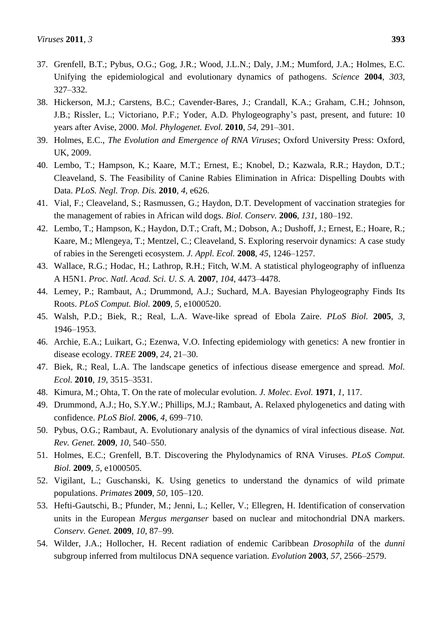- <span id="page-14-0"></span>37. Grenfell, B.T.; Pybus, O.G.; Gog, J.R.; Wood, J.L.N.; Daly, J.M.; Mumford, J.A.; Holmes, E.C. Unifying the epidemiological and evolutionary dynamics of pathogens. *Science* **2004**, *303*, 327–332.
- <span id="page-14-1"></span>38. Hickerson, M.J.; Carstens, B.C.; Cavender-Bares, J.; Crandall, K.A.; Graham, C.H.; Johnson, J.B.; Rissler, L.; Victoriano, P.F.; Yoder, A.D. Phylogeography's past, present, and future: 10 years after Avise, 2000. *Mol. Phylogenet. Evol.* **2010**, *54*, 291–301.
- <span id="page-14-2"></span>39. Holmes, E.C., *The Evolution and Emergence of RNA Viruses*; Oxford University Press: Oxford, UK, 2009.
- <span id="page-14-3"></span>40. Lembo, T.; Hampson, K.; Kaare, M.T.; Ernest, E.; Knobel, D.; Kazwala, R.R.; Haydon, D.T.; Cleaveland, S. The Feasibility of Canine Rabies Elimination in Africa: Dispelling Doubts with Data. *PLoS. Negl. Trop. Dis.* **2010**, *4*, e626.
- <span id="page-14-4"></span>41. Vial, F.; Cleaveland, S.; Rasmussen, G.; Haydon, D.T. Development of vaccination strategies for the management of rabies in African wild dogs. *Biol. Conserv.* **2006**, *131*, 180–192.
- <span id="page-14-5"></span>42. Lembo, T.; Hampson, K.; Haydon, D.T.; Craft, M.; Dobson, A.; Dushoff, J.; Ernest, E.; Hoare, R.; Kaare, M.; Mlengeya, T.; Mentzel, C.; Cleaveland, S. Exploring reservoir dynamics: A case study of rabies in the Serengeti ecosystem. *J. Appl. Ecol.* **2008**, *45*, 1246–1257.
- <span id="page-14-6"></span>43. Wallace, R.G.; Hodac, H.; Lathrop, R.H.; Fitch, W.M. A statistical phylogeography of influenza A H5N1. *Proc. Natl. Acad. Sci. U. S. A.* **2007**, *104*, 4473–4478.
- <span id="page-14-7"></span>44. Lemey, P.; Rambaut, A.; Drummond, A.J.; Suchard, M.A. Bayesian Phylogeography Finds Its Roots. *PLoS Comput. Biol.* **2009**, *5*, e1000520.
- <span id="page-14-8"></span>45. Walsh, P.D.; Biek, R.; Real, L.A. Wave-like spread of Ebola Zaire. *PLoS Biol.* **2005**, *3*, 1946–1953.
- <span id="page-14-9"></span>46. Archie, E.A.; Luikart, G.; Ezenwa, V.O. Infecting epidemiology with genetics: A new frontier in disease ecology. *TREE* **2009**, *24*, 21–30.
- <span id="page-14-10"></span>47. Biek, R.; Real, L.A. The landscape genetics of infectious disease emergence and spread. *Mol. Ecol.* **2010**, *19*, 3515–3531.
- <span id="page-14-11"></span>48. Kimura, M.; Ohta, T. On the rate of molecular evolution. *J. Molec. Evol.* **1971**, *1*, 117.
- <span id="page-14-12"></span>49. Drummond, A.J.; Ho, S.Y.W.; Phillips, M.J.; Rambaut, A. Relaxed phylogenetics and dating with confidence. *PLoS Biol.* **2006**, *4*, 699–710.
- <span id="page-14-13"></span>50. Pybus, O.G.; Rambaut, A. Evolutionary analysis of the dynamics of viral infectious disease. *Nat. Rev. Genet.* **2009**, *10*, 540–550.
- <span id="page-14-14"></span>51. Holmes, E.C.; Grenfell, B.T. Discovering the Phylodynamics of RNA Viruses. *PLoS Comput. Biol.* **2009**, *5*, e1000505.
- <span id="page-14-15"></span>52. Vigilant, L.; Guschanski, K. Using genetics to understand the dynamics of wild primate populations. *Primates* **2009**, *50*, 105–120.
- <span id="page-14-16"></span>53. Hefti-Gautschi, B.; Pfunder, M.; Jenni, L.; Keller, V.; Ellegren, H. Identification of conservation units in the European *Mergus merganser* based on nuclear and mitochondrial DNA markers. *Conserv. Genet.* **2009**, *10*, 87–99.
- <span id="page-14-17"></span>54. Wilder, J.A.; Hollocher, H. Recent radiation of endemic Caribbean *Drosophila* of the *dunni* subgroup inferred from multilocus DNA sequence variation. *Evolution* **2003**, *57*, 2566–2579.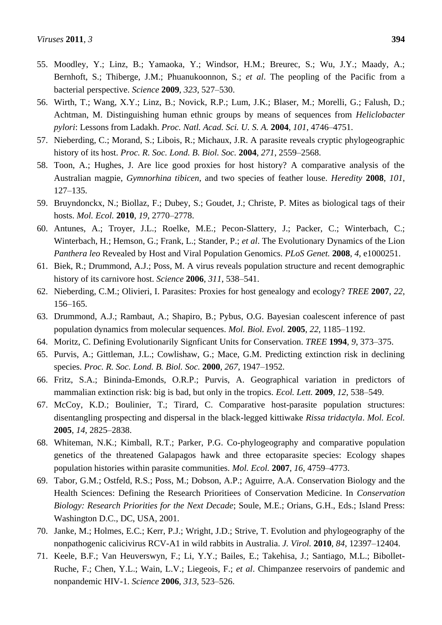- <span id="page-15-0"></span>55. Moodley, Y.; Linz, B.; Yamaoka, Y.; Windsor, H.M.; Breurec, S.; Wu, J.Y.; Maady, A.; Bernhoft, S.; Thiberge, J.M.; Phuanukoonnon, S.; *et al*. The peopling of the Pacific from a bacterial perspective. *Science* **2009**, *323*, 527–530.
- <span id="page-15-1"></span>56. Wirth, T.; Wang, X.Y.; Linz, B.; Novick, R.P.; Lum, J.K.; Blaser, M.; Morelli, G.; Falush, D.; Achtman, M. Distinguishing human ethnic groups by means of sequences from *Heliclobacter pylori*: Lessons from Ladakh. *Proc. Natl. Acad. Sci. U. S. A.* **2004**, *101*, 4746–4751.
- <span id="page-15-2"></span>57. Nieberding, C.; Morand, S.; Libois, R.; Michaux, J.R. A parasite reveals cryptic phylogeographic history of its host. *Proc. R. Soc. Lond. B. Biol. Soc.* **2004**, *271*, 2559–2568.
- <span id="page-15-3"></span>58. Toon, A.; Hughes, J. Are lice good proxies for host history? A comparative analysis of the Australian magpie, *Gymnorhina tibicen*, and two species of feather louse. *Heredity* **2008**, *101*, 127–135.
- <span id="page-15-4"></span>59. Bruyndonckx, N.; Biollaz, F.; Dubey, S.; Goudet, J.; Christe, P. Mites as biological tags of their hosts. *Mol. Ecol.* **2010**, *19*, 2770–2778.
- <span id="page-15-5"></span>60. Antunes, A.; Troyer, J.L.; Roelke, M.E.; Pecon-Slattery, J.; Packer, C.; Winterbach, C.; Winterbach, H.; Hemson, G.; Frank, L.; Stander, P.; *et al*. The Evolutionary Dynamics of the Lion *Panthera leo* Revealed by Host and Viral Population Genomics. *PLoS Genet.* **2008**, *4*, e1000251.
- <span id="page-15-6"></span>61. Biek, R.; Drummond, A.J.; Poss, M. A virus reveals population structure and recent demographic history of its carnivore host. *Science* **2006**, *311*, 538–541.
- <span id="page-15-7"></span>62. Nieberding, C.M.; Olivieri, I. Parasites: Proxies for host genealogy and ecology? *TREE* **2007**, *22*, 156–165.
- <span id="page-15-8"></span>63. Drummond, A.J.; Rambaut, A.; Shapiro, B.; Pybus, O.G. Bayesian coalescent inference of past population dynamics from molecular sequences. *Mol. Biol. Evol.* **2005**, *22*, 1185–1192.
- <span id="page-15-9"></span>64. Moritz, C. Defining Evolutionarily Signficant Units for Conservation. *TREE* **1994**, *9*, 373–375.
- <span id="page-15-10"></span>65. Purvis, A.; Gittleman, J.L.; Cowlishaw, G.; Mace, G.M. Predicting extinction risk in declining species. *Proc. R. Soc. Lond. B. Biol. Soc.* **2000**, *267*, 1947–1952.
- <span id="page-15-11"></span>66. Fritz, S.A.; Bininda-Emonds, O.R.P.; Purvis, A. Geographical variation in predictors of mammalian extinction risk: big is bad, but only in the tropics. *Ecol. Lett.* **2009**, *12*, 538–549.
- <span id="page-15-12"></span>67. McCoy, K.D.; Boulinier, T.; Tirard, C. Comparative host-parasite population structures: disentangling prospecting and dispersal in the black-legged kittiwake *Rissa tridactyla*. *Mol. Ecol.*  **2005**, *14*, 2825–2838.
- <span id="page-15-13"></span>68. Whiteman, N.K.; Kimball, R.T.; Parker, P.G. Co-phylogeography and comparative population genetics of the threatened Galapagos hawk and three ectoparasite species: Ecology shapes population histories within parasite communities. *Mol. Ecol.* **2007**, *16*, 4759–4773.
- <span id="page-15-14"></span>69. Tabor, G.M.; Ostfeld, R.S.; Poss, M.; Dobson, A.P.; Aguirre, A.A. Conservation Biology and the Health Sciences: Defining the Research Prioritiees of Conservation Medicine. In *Conservation Biology: Research Priorities for the Next Decade*; Soule, M.E.; Orians, G.H., Eds.; Island Press: Washington D.C., DC, USA, 2001.
- <span id="page-15-15"></span>70. Janke, M.; Holmes, E.C.; Kerr, P.J.; Wright, J.D.; Strive, T. Evolution and phylogeography of the nonpathogenic calicivirus RCV-A1 in wild rabbits in Australia. *J. Virol.* **2010**, *84*, 12397–12404.
- <span id="page-15-16"></span>71. Keele, B.F.; Van Heuverswyn, F.; Li, Y.Y.; Bailes, E.; Takehisa, J.; Santiago, M.L.; Bibollet-Ruche, F.; Chen, Y.L.; Wain, L.V.; Liegeois, F.; *et al*. Chimpanzee reservoirs of pandemic and nonpandemic HIV-1. *Science* **2006**, *313*, 523–526.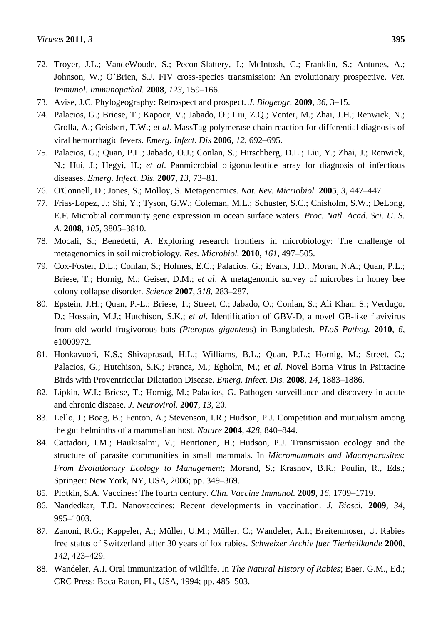- <span id="page-16-0"></span>72. Troyer, J.L.; VandeWoude, S.; Pecon-Slattery, J.; McIntosh, C.; Franklin, S.; Antunes, A.; Johnson, W.; O'Brien, S.J. FIV cross-species transmission: An evolutionary prospective. *Vet. Immunol. Immunopathol.* **2008**, *123*, 159–166.
- <span id="page-16-1"></span>73. Avise, J.C. Phylogeography: Retrospect and prospect. *J. Biogeogr.* **2009**, *36*, 3–15.
- <span id="page-16-2"></span>74. Palacios, G.; Briese, T.; Kapoor, V.; Jabado, O.; Liu, Z.Q.; Venter, M.; Zhai, J.H.; Renwick, N.; Grolla, A.; Geisbert, T.W.; *et al*. MassTag polymerase chain reaction for differential diagnosis of viral hemorrhagic fevers. *Emerg. Infect. Dis* **2006**, *12*, 692–695.
- <span id="page-16-3"></span>75. Palacios, G.; Quan, P.L.; Jabado, O.J.; Conlan, S.; Hirschberg, D.L.; Liu, Y.; Zhai, J.; Renwick, N.; Hui, J.; Hegyi, H.; *et al*. Panmicrobial oligonucleotide array for diagnosis of infectious diseases. *Emerg. Infect. Dis.* **2007**, *13*, 73–81.
- <span id="page-16-4"></span>76. O'Connell, D.; Jones, S.; Molloy, S. Metagenomics. *Nat. Rev. Micriobiol.* **2005**, *3*, 447–447.
- <span id="page-16-5"></span>77. Frias-Lopez, J.; Shi, Y.; Tyson, G.W.; Coleman, M.L.; Schuster, S.C.; Chisholm, S.W.; DeLong, E.F. Microbial community gene expression in ocean surface waters. *Proc. Natl. Acad. Sci. U. S. A.* **2008**, *105*, 3805–3810.
- <span id="page-16-6"></span>78. Mocali, S.; Benedetti, A. Exploring research frontiers in microbiology: The challenge of metagenomics in soil microbiology. *Res. Microbiol.* **2010**, *161*, 497–505.
- <span id="page-16-7"></span>79. Cox-Foster, D.L.; Conlan, S.; Holmes, E.C.; Palacios, G.; Evans, J.D.; Moran, N.A.; Quan, P.L.; Briese, T.; Hornig, M.; Geiser, D.M.; *et al*. A metagenomic survey of microbes in honey bee colony collapse disorder. *Science* **2007**, *318*, 283–287.
- 80. Epstein, J.H.; Quan, P.-L.; Briese, T.; Street, C.; Jabado, O.; Conlan, S.; Ali Khan, S.; Verdugo, D.; Hossain, M.J.; Hutchison, S.K.; *et al*. Identification of GBV-D, a novel GB-like flavivirus from old world frugivorous bats *(Pteropus giganteus*) in Bangladesh. *PLoS Pathog.* **2010**, *6*, e1000972.
- 81. Honkavuori, K.S.; Shivaprasad, H.L.; Williams, B.L.; Quan, P.L.; Hornig, M.; Street, C.; Palacios, G.; Hutchison, S.K.; Franca, M.; Egholm, M.; *et al*. Novel Borna Virus in Psittacine Birds with Proventricular Dilatation Disease. *Emerg. Infect. Dis.* **2008**, *14*, 1883–1886.
- <span id="page-16-8"></span>82. Lipkin, W.I.; Briese, T.; Hornig, M.; Palacios, G. Pathogen surveillance and discovery in acute and chronic disease. *J. Neurovirol.* **2007**, *13*, 20.
- <span id="page-16-9"></span>83. Lello, J.; Boag, B.; Fenton, A.; Stevenson, I.R.; Hudson, P.J. Competition and mutualism among the gut helminths of a mammalian host. *Nature* **2004**, *428*, 840–844.
- <span id="page-16-10"></span>84. Cattadori, I.M.; Haukisalmi, V.; Henttonen, H.; Hudson, P.J. Transmission ecology and the structure of parasite communities in small mammals. In *Micromammals and Macroparasites: From Evolutionary Ecology to Management*; Morand, S.; Krasnov, B.R.; Poulin, R., Eds.; Springer: New York, NY, USA, 2006; pp. 349–369.
- <span id="page-16-11"></span>85. Plotkin, S.A. Vaccines: The fourth century. *Clin. Vaccine Immunol.* **2009**, *16*, 1709–1719.
- <span id="page-16-12"></span>86. Nandedkar, T.D. Nanovaccines: Recent developments in vaccination. *J. Biosci.* **2009**, *34*, 995–1003.
- <span id="page-16-13"></span>87. Zanoni, R.G.; Kappeler, A.; Müller, U.M.; Müller, C.; Wandeler, A.I.; Breitenmoser, U. Rabies free status of Switzerland after 30 years of fox rabies. *Schweizer Archiv fuer Tierheilkunde* **2000**, *142*, 423–429.
- <span id="page-16-14"></span>88. Wandeler, A.I. Oral immunization of wildlife. In *The Natural History of Rabies*; Baer, G.M., Ed.; CRC Press: Boca Raton, FL, USA, 1994; pp. 485–503.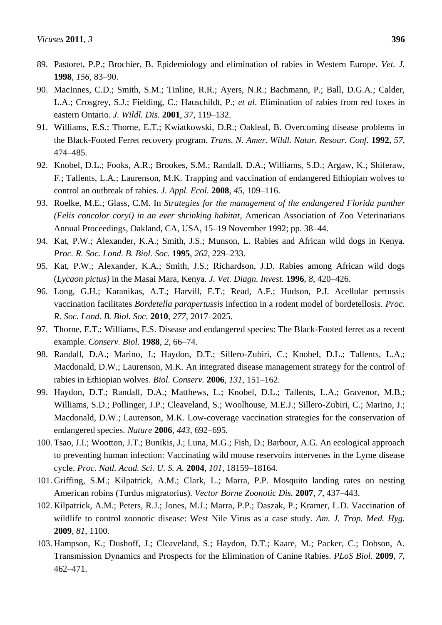- <span id="page-17-0"></span>89. Pastoret, P.P.; Brochier, B. Epidemiology and elimination of rabies in Western Europe. *Vet. J.*  **1998**, *156*, 83–90.
- <span id="page-17-1"></span>90. MacInnes, C.D.; Smith, S.M.; Tinline, R.R.; Ayers, N.R.; Bachmann, P.; Ball, D.G.A.; Calder, L.A.; Crosgrey, S.J.; Fielding, C.; Hauschildt, P.; *et al*. Elimination of rabies from red foxes in eastern Ontario. *J. Wildl. Dis.* **2001**, *37*, 119–132.
- <span id="page-17-2"></span>91. Williams, E.S.; Thorne, E.T.; Kwiatkowski, D.R.; Oakleaf, B. Overcoming disease problems in the Black-Footed Ferret recovery program. *Trans. N. Amer. Wildl. Natur. Resour. Conf.* **1992**, *57*, 474–485.
- <span id="page-17-3"></span>92. Knobel, D.L.; Fooks, A.R.; Brookes, S.M.; Randall, D.A.; Williams, S.D.; Argaw, K.; Shiferaw, F.; Tallents, L.A.; Laurenson, M.K. Trapping and vaccination of endangered Ethiopian wolves to control an outbreak of rabies. *J. Appl. Ecol.* **2008**, *45*, 109–116.
- <span id="page-17-4"></span>93. Roelke, M.E.; Glass, C.M. In *Strategies for the management of the endangered Florida panther (Felis concolor coryi) in an ever shrinking habitat*, American Association of Zoo Veterinarians Annual Proceedings, Oakland, CA, USA, 15–19 November 1992; pp. 38–44.
- <span id="page-17-5"></span>94. Kat, P.W.; Alexander, K.A.; Smith, J.S.; Munson, L. Rabies and African wild dogs in Kenya. *Proc. R. Soc. Lond. B. Biol. Soc.* **1995**, *262*, 229–233.
- <span id="page-17-6"></span>95. Kat, P.W.; Alexander, K.A.; Smith, J.S.; Richardson, J.D. Rabies among African wild dogs (*Lycaon pictus)* in the Masai Mara, Kenya. *J. Vet. Diagn. Invest.* **1996**, *8*, 420–426.
- <span id="page-17-7"></span>96. Long, G.H.; Karanikas, A.T.; Harvill, E.T.; Read, A.F.; Hudson, P.J. Acellular pertussis vaccination facilitates *Bordetella parapertussis* infection in a rodent model of bordetellosis. *Proc. R. Soc. Lond. B. Biol. Soc.* **2010**, *277*, 2017–2025.
- <span id="page-17-8"></span>97. Thorne, E.T.; Williams, E.S. Disease and endangered species: The Black-Footed ferret as a recent example. *Conserv. Biol.* **1988**, *2*, 66–74.
- <span id="page-17-9"></span>98. Randall, D.A.; Marino, J.; Haydon, D.T.; Sillero-Zubiri, C.; Knobel, D.L.; Tallents, L.A.; Macdonald, D.W.; Laurenson, M.K. An integrated disease management strategy for the control of rabies in Ethiopian wolves. *Biol. Conserv.* **2006**, *131*, 151–162.
- <span id="page-17-10"></span>99. Haydon, D.T.; Randall, D.A.; Matthews, L.; Knobel, D.L.; Tallents, L.A.; Gravenor, M.B.; Williams, S.D.; Pollinger, J.P.; Cleaveland, S.; Woolhouse, M.E.J.; Sillero-Zubiri, C.; Marino, J.; Macdonald, D.W.; Laurenson, M.K. Low-coverage vaccination strategies for the conservation of endangered species. *Nature* **2006**, *443*, 692–695.
- <span id="page-17-11"></span>100. Tsao, J.I.; Wootton, J.T.; Bunikis, J.; Luna, M.G.; Fish, D.; Barbour, A.G. An ecological approach to preventing human infection: Vaccinating wild mouse reservoirs intervenes in the Lyme disease cycle. *Proc. Natl. Acad. Sci. U. S. A.* **2004**, *101*, 18159–18164.
- <span id="page-17-12"></span>101. Griffing, S.M.; Kilpatrick, A.M.; Clark, L.; Marra, P.P. Mosquito landing rates on nesting American robins (Turdus migratorius). *Vector Borne Zoonotic Dis.* **2007**, *7*, 437–443.
- <span id="page-17-13"></span>102. Kilpatrick, A.M.; Peters, R.J.; Jones, M.J.; Marra, P.P.; Daszak, P.; Kramer, L.D. Vaccination of wildlife to control zoonotic disease: West Nile Virus as a case study. *Am. J. Trop. Med. Hyg.*  **2009**, *81*, 1100.
- <span id="page-17-14"></span>103. Hampson, K.; Dushoff, J.; Cleaveland, S.; Haydon, D.T.; Kaare, M.; Packer, C.; Dobson, A. Transmission Dynamics and Prospects for the Elimination of Canine Rabies. *PLoS Biol.* **2009**, *7*, 462–471.